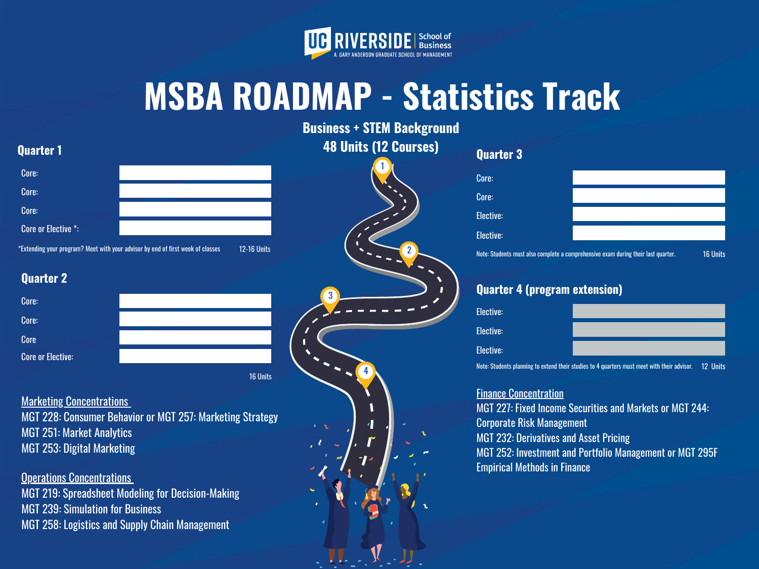3

4



# **MSBA ROADMAP - Statistics Track**

# **Business + STEM Background 48 Units (12 Courses)**

# **Quarter 1**

## **Quarter 2**

16 Units

## **Marketing Concentrations**



# **Quarter 4 (program extension)**

**Finance Concentration** MGT 227: Fixed Income Securities and Markets or MGT 244: Corporate Risk Management MGT 232: Derivatives and Asset Pricing MGT 252: Investment and Portfolio Management or MGT 295F Empirical Methods in Finance

| <b>Elective:</b> |                                                                                                                           |
|------------------|---------------------------------------------------------------------------------------------------------------------------|
| <b>Elective:</b> |                                                                                                                           |
| <b>Elective:</b> |                                                                                                                           |
|                  | and contract the contract of the contract of the contract of the contract of the contract of the contract of the<br>40.11 |

**Operations Concentrations** MGT 219: Spreadsheet Modeling for Decision-Making MGT 239: Simulation for Business MGT 258: Logistics and Supply Chain Management

| Core:                    |  |
|--------------------------|--|
| Core:                    |  |
| Core                     |  |
| <b>Core or Elective:</b> |  |
|                          |  |

| Core:            |                                                                                   |                 |
|------------------|-----------------------------------------------------------------------------------|-----------------|
| Core:            |                                                                                   |                 |
| <b>Elective:</b> |                                                                                   |                 |
| Elective:        |                                                                                   |                 |
|                  | Note: Students must also complete a comprehensive exam during their last quarter. | <b>16 Units</b> |

MGT 228: Consumer Behavior or MGT 257: Marketing Strategy MGT 251: Market Analytics MGT 253: Digital Marketing

| Core:               |                                                                                                       | W | Core:                                                                             |
|---------------------|-------------------------------------------------------------------------------------------------------|---|-----------------------------------------------------------------------------------|
| Core:               |                                                                                                       |   | Core:                                                                             |
| Core:               |                                                                                                       |   | Elective:                                                                         |
| Core or Elective *: |                                                                                                       |   | Elective:                                                                         |
|                     | *Extending your program? Meet with your advisor by end of first week of classes<br><b>12-16 Units</b> |   | Note: Students must also complete a comprehensive exam during their last quarter. |

Note: Students planning to extend their studies to 4 quarters must meet with their advisor. 12 Units